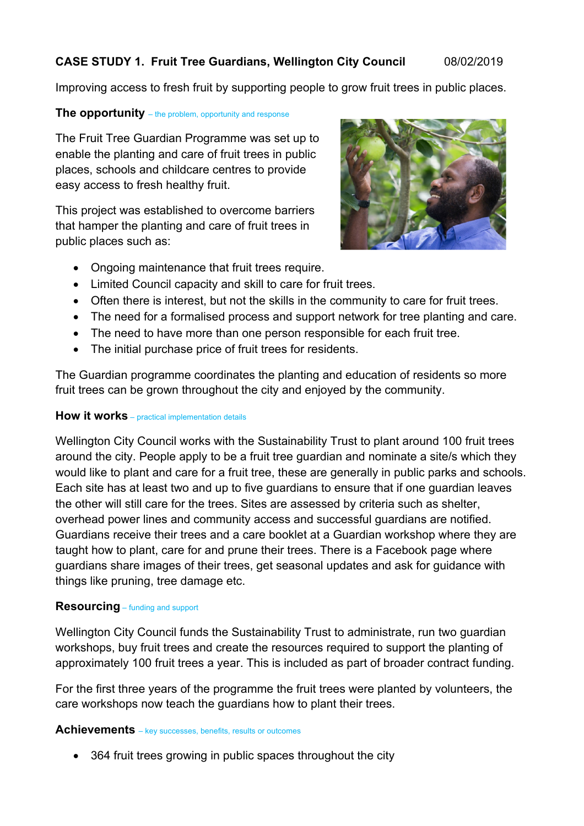# **CASE STUDY 1. Fruit Tree Guardians, Wellington City Council** 08/02/2019

Improving access to fresh fruit by supporting people to grow fruit trees in public places.

### **The opportunity** – the problem, opportunity and response

The Fruit Tree Guardian Programme was set up to enable the planting and care of fruit trees in public places, schools and childcare centres to provide easy access to fresh healthy fruit.

This project was established to overcome barriers that hamper the planting and care of fruit trees in public places such as:



- Ongoing maintenance that fruit trees require.
- Limited Council capacity and skill to care for fruit trees.
- Often there is interest, but not the skills in the community to care for fruit trees.
- The need for a formalised process and support network for tree planting and care.
- The need to have more than one person responsible for each fruit tree.
- The initial purchase price of fruit trees for residents.

The Guardian programme coordinates the planting and education of residents so more fruit trees can be grown throughout the city and enjoyed by the community.

### **How it works** – practical implementation details

Wellington City Council works with the Sustainability Trust to plant around 100 fruit trees around the city. People apply to be a fruit tree guardian and nominate a site/s which they would like to plant and care for a fruit tree, these are generally in public parks and schools. Each site has at least two and up to five guardians to ensure that if one guardian leaves the other will still care for the trees. Sites are assessed by criteria such as shelter, overhead power lines and community access and successful guardians are notified. Guardians receive their trees and a care booklet at a Guardian workshop where they are taught how to plant, care for and prune their trees. There is a Facebook page where guardians share images of their trees, get seasonal updates and ask for guidance with things like pruning, tree damage etc.

### **Resourcing** – funding and support

Wellington City Council funds the Sustainability Trust to administrate, run two guardian workshops, buy fruit trees and create the resources required to support the planting of approximately 100 fruit trees a year. This is included as part of broader contract funding.

For the first three years of the programme the fruit trees were planted by volunteers, the care workshops now teach the guardians how to plant their trees.

#### **Achievements** – key successes, benefits, results or outcomes

• 364 fruit trees growing in public spaces throughout the city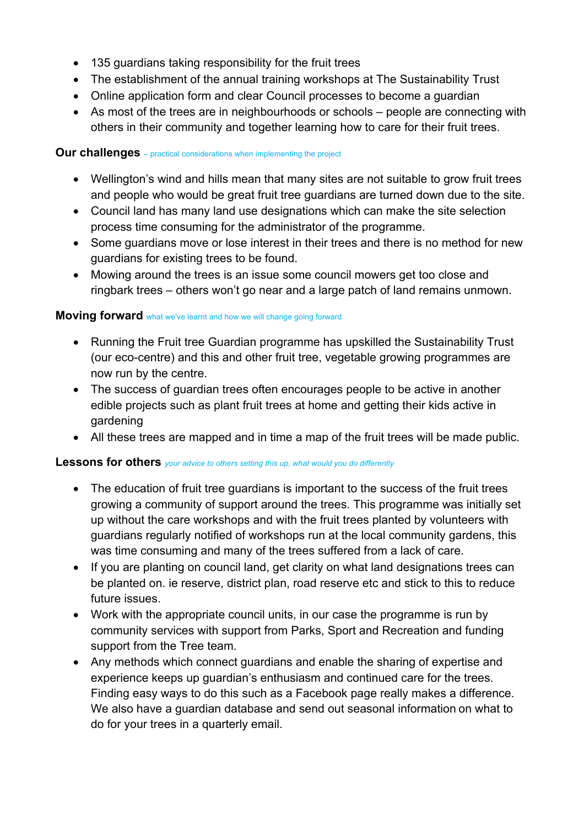- 135 guardians taking responsibility for the fruit trees
- The establishment of the annual training workshops at The Sustainability Trust
- Online application form and clear Council processes to become a guardian
- As most of the trees are in neighbourhoods or schools people are connecting with others in their community and together learning how to care for their fruit trees.

### **Our challenges** – practical considerations when implementing the project

- Wellington's wind and hills mean that many sites are not suitable to grow fruit trees and people who would be great fruit tree guardians are turned down due to the site.
- Council land has many land use designations which can make the site selection process time consuming for the administrator of the programme.
- Some guardians move or lose interest in their trees and there is no method for new guardians for existing trees to be found.
- Mowing around the trees is an issue some council mowers get too close and ringbark trees – others won't go near and a large patch of land remains unmown.

### **Moving forward** what we've learnt and how we will change going forward

- Running the Fruit tree Guardian programme has upskilled the Sustainability Trust (our eco-centre) and this and other fruit tree, vegetable growing programmes are now run by the centre.
- The success of guardian trees often encourages people to be active in another edible projects such as plant fruit trees at home and getting their kids active in gardening
- All these trees are mapped and in time a map of the fruit trees will be made public.

### **Lessons for others** *your advice to others setting this up, what would you do differently*

- The education of fruit tree quardians is important to the success of the fruit trees growing a community of support around the trees. This programme was initially set up without the care workshops and with the fruit trees planted by volunteers with guardians regularly notified of workshops run at the local community gardens, this was time consuming and many of the trees suffered from a lack of care.
- If you are planting on council land, get clarity on what land designations trees can be planted on. ie reserve, district plan, road reserve etc and stick to this to reduce future issues.
- Work with the appropriate council units, in our case the programme is run by community services with support from Parks, Sport and Recreation and funding support from the Tree team.
- Any methods which connect guardians and enable the sharing of expertise and experience keeps up guardian's enthusiasm and continued care for the trees. Finding easy ways to do this such as a Facebook page really makes a difference. We also have a guardian database and send out seasonal information on what to do for your trees in a quarterly email.